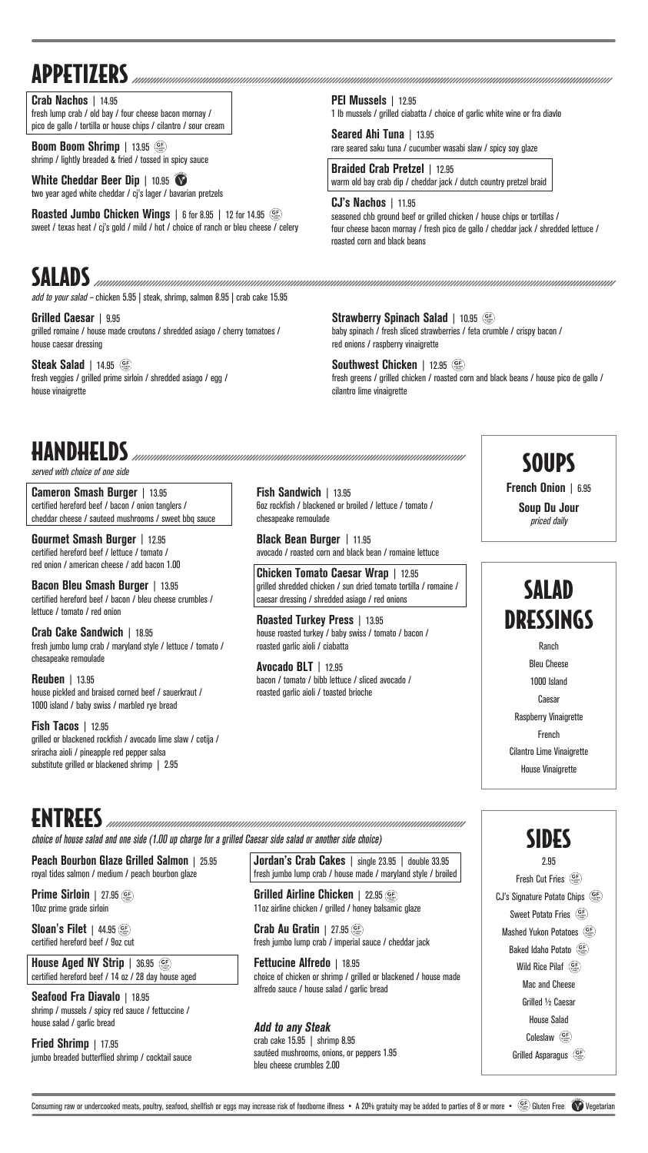SALADS add to your salad – chicken 5.95 | steak, shrimp, salmon 8.95 | crab cake 15.95

**Grilled Caesar** | 9.95 grilled romaine / house made croutons / shredded asiago / cherry tomatoes / house caesar dressing

**Steak Salad** | 14.95 (SE) fresh veggies / grilled prime sirloin / shredded asiago / egg / house vinaigrette

**Strawberry Spinach Salad** | 10.95 baby spinach / fresh sliced strawberries / feta crumble / crispy bacon / red onions / raspberry vinaigrette

**Prime Sirloin** | 27.95 ( 10oz prime grade sirloin

**Southwest Chicken** | 12.95 fresh greens / grilled chicken / roasted corn and black beans / house pico de gallo / cilantro lime vinaigrette



**Fried Shrimp** | 17.95 jumbo breaded butterflied shrimp / cocktail sauce

Ranch Bleu Cheese 1000 Island Caesar Raspberry Vinaigrette French Cilantro Lime Vinaigrette House Vinaigrette

**Jordan's Crab Cakes** | single 23.95 | double 33.95 fresh jumbo lump crab / house made / maryland style / broiled

ENTREES

choice of house salad and one side (1.00 up charge for a grilled Caesar side salad or another side choice)

**Peach Bourbon Glaze Grilled Salmon** | 25.95 royal tides salmon / medium / peach bourbon glaze

**Sloan's Filet** | 44.95 certified hereford beef / 9oz cut

**House Aged NY Strip** | 36.95 certified hereford beef / 14 oz / 28 day house aged

**Seafood Fra Diavalo** | 18.95 shrimp / mussels / spicy red sauce / fettuccine / house salad / garlic bread

**Grilled Airline Chicken** | 22.95 11oz airline chicken / grilled / honey balsamic glaze

**Crab Au Gratin** | 27.95 fresh jumbo lump crab / imperial sauce / cheddar jack

**Fettucine Alfredo** | 18.95 choice of chicken or shrimp / grilled or blackened / house made alfredo sauce / house salad / garlic bread

**Add to any Steak**

crab cake 15.95 | shrimp 8.95 sautéed mushrooms, onions, or peppers 1.95 bleu cheese crumbles 2.00



Consuming raw or undercooked meats, poultry, seafood, shellfish or eggs may increase risk of foodborne illness • A 20% gratuity may be added to parties of 8 or more •  $\frac{(\mathbf{G} \cdot \mathbf{F})}{(\mathbf{G} \cdot \mathbf{F})}$  Gluten Free  $\mathbf{V$ 

**Boom Boom Shrimp** | 13.95 shrimp / lightly breaded & fried / tossed in spicy sauce

**White Cheddar Beer Dip** | 10.95 two year aged white cheddar / cj's lager / bavarian pretzels

**Roasted Jumbo Chicken Wings** | 6 for 8.95 | 12 for 14.95 (SE) sweet / texas heat / cj's gold / mild / hot / choice of ranch or bleu cheese / celery

**French Onion** | 6.95

**Soup Du Jour** priced daily

HANDHELDS

served with choice of one side

**Cameron Smash Burger** | 13.95 certified hereford beef / bacon / onion tanglers / cheddar cheese / sauteed mushrooms / sweet bbq sauce

**Gourmet Smash Burger** | 12.95 certified hereford beef / lettuce / tomato / red onion / american cheese / add bacon 1.00

**Bacon Bleu Smash Burger** | 13.95 certified hereford beef / bacon / bleu cheese crumbles / lettuce / tomato / red onion

**Crab Cake Sandwich** | 18.95 fresh jumbo lump crab / maryland style / lettuce / tomato / chesapeake remoulade

**Reuben** | 13.95 house pickled and braised corned beef / sauerkraut / 1000 island / baby swiss / marbled rye bread

**Fish Tacos** | 12.95 grilled or blackened rockfish / avocado lime slaw / cotija / sriracha aioli / pineapple red pepper salsa substitute grilled or blackened shrimp | 2.95

**Fish Sandwich** | 13.95 6oz rockfish / blackened or broiled / lettuce / tomato / chesapeake remoulade

**Black Bean Burger** | 11.95 avocado / roasted corn and black bean / romaine lettuce

**Chicken Tomato Caesar Wrap** | 12.95 grilled shredded chicken / sun dried tomato tortilla / romaine / caesar dressing / shredded asiago / red onions

**Roasted Turkey Press** | 13.95 house roasted turkey / baby swiss / tomato / bacon / roasted garlic aioli / ciabatta

**Avocado BLT** | 12.95 bacon / tomato / bibb lettuce / sliced avocado / roasted garlic aioli / toasted brioche

## **SOUPS**

# APPETIZERS

**Crab Nachos** | 14.95 fresh lump crab / old bay / four cheese bacon mornay / pico de gallo / tortilla or house chips / cilantro / sour cream **PEI Mussels** | 12.95 1 lb mussels / grilled ciabatta / choice of garlic white wine or fra diavlo

**Seared Ahi Tuna** | 13.95 rare seared saku tuna / cucumber wasabi slaw / spicy soy glaze

**Braided Crab Pretzel** | 12.95 warm old bay crab dip / cheddar jack / dutch country pretzel braid

**CJ's Nachos** | 11.95 seasoned chb ground beef or grilled chicken / house chips or tortillas / four cheese bacon mornay / fresh pico de gallo / cheddar jack / shredded lettuce / roasted corn and black beans